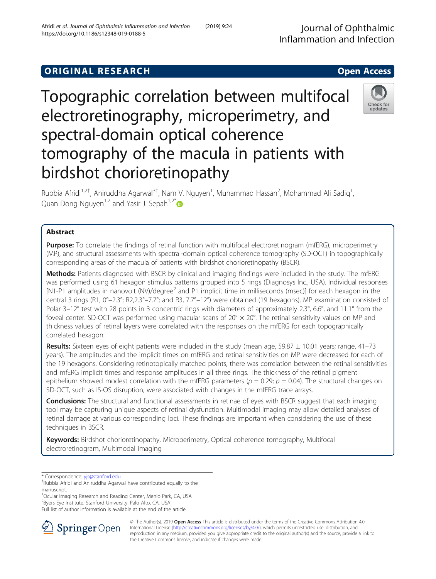## **ORIGINAL RESEARCH CONSUMING ACCESS**

# Topographic correlation between multifocal electroretinography, microperimetry, and spectral-domain optical coherence tomography of the macula in patients with birdshot chorioretinopathy

Rubbia Afridi<sup>1,2†</sup>, Aniruddha Agarwal<sup>3†</sup>, Nam V. Nguyen<sup>1</sup>, Muhammad Hassan<sup>2</sup>, Mohammad Ali Sadiq<sup>1</sup> , Quan Dong Nguyen<sup>1,2</sup> and Yasir J. Sepah<sup>1,2[\\*](http://orcid.org/0000-0002-0104-6284)</sup>

## Abstract

Purpose: To correlate the findings of retinal function with multifocal electroretinogram (mfERG), microperimetry (MP), and structural assessments with spectral-domain optical coherence tomography (SD-OCT) in topographically corresponding areas of the macula of patients with birdshot chorioretinopathy (BSCR).

Methods: Patients diagnosed with BSCR by clinical and imaging findings were included in the study. The mfERG was performed using 61 hexagon stimulus patterns grouped into 5 rings (Diagnosys Inc., USA). Individual responses [N1-P1 amplitudes in nanovolt (NV)/degree<sup>2</sup> and P1 implicit time in milliseconds (msec)] for each hexagon in the central 3 rings (R1, 0°–2.3°; R2,2.3°–7.7°; and R3, 7.7°–12°) were obtained (19 hexagons). MP examination consisted of Polar 3–12° test with 28 points in 3 concentric rings with diameters of approximately 2.3°, 6.6°, and 11.1° from the foveal center. SD-OCT was performed using macular scans of  $20^{\circ} \times 20^{\circ}$ . The retinal sensitivity values on MP and thickness values of retinal layers were correlated with the responses on the mfERG for each topographically correlated hexagon.

Results: Sixteen eyes of eight patients were included in the study (mean age,  $59.87 \pm 10.01$  years; range,  $41-73$ years). The amplitudes and the implicit times on mfERG and retinal sensitivities on MP were decreased for each of the 19 hexagons. Considering retinotopically matched points, there was correlation between the retinal sensitivities and mfERG implicit times and response amplitudes in all three rings. The thickness of the retinal pigment epithelium showed modest correlation with the mfERG parameters ( $\rho = 0.29$ ;  $p = 0.04$ ). The structural changes on SD-OCT, such as IS-OS disruption, were associated with changes in the mfERG trace arrays.

**Conclusions:** The structural and functional assessments in retinae of eyes with BSCR suggest that each imaging tool may be capturing unique aspects of retinal dysfunction. Multimodal imaging may allow detailed analyses of retinal damage at various corresponding loci. These findings are important when considering the use of these techniques in BSCR.

Keywords: Birdshot chorioretinopathy, Microperimetry, Optical coherence tomography, Multifocal electroretinogram, Multimodal imaging

\* Correspondence: [yjs@stanford.edu](mailto:yjs@stanford.edu) †

<sup>1</sup>Ocular Imaging Research and Reading Center, Menlo Park, CA, USA

2 Byers Eye Institute, Stanford University, Palo Alto, CA, USA

Full list of author information is available at the end of the article

© The Author(s). 2019 Open Access This article is distributed under the terms of the Creative Commons Attribution 4.0 SpringerOpen International License ([http://creativecommons.org/licenses/by/4.0/\)](http://creativecommons.org/licenses/by/4.0/), which permits unrestricted use, distribution, and reproduction in any medium, provided you give appropriate credit to the original author(s) and the source, provide a link to the Creative Commons license, and indicate if changes were made.







Rubbia Afridi and Aniruddha Agarwal have contributed equally to the manuscript.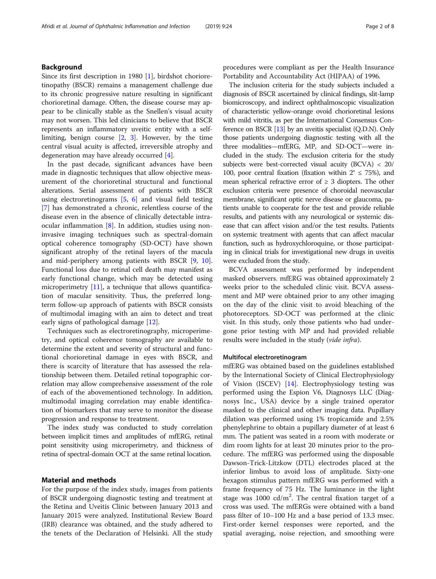## Background

Since its first description in 1980 [\[1](#page-7-0)], birdshot chorioretinopathy (BSCR) remains a management challenge due to its chronic progressive nature resulting in significant chorioretinal damage. Often, the disease course may appear to be clinically stable as the Snellen's visual acuity may not worsen. This led clinicians to believe that BSCR represents an inflammatory uveitic entity with a selflimiting, benign course  $[2, 3]$  $[2, 3]$  $[2, 3]$ . However, by the time central visual acuity is affected, irreversible atrophy and degeneration may have already occurred [\[4](#page-7-0)].

In the past decade, significant advances have been made in diagnostic techniques that allow objective measurement of the chorioretinal structural and functional alterations. Serial assessment of patients with BSCR using electroretinograms [\[5](#page-7-0), [6\]](#page-7-0) and visual field testing [[7\]](#page-7-0) has demonstrated a chronic, relentless course of the disease even in the absence of clinically detectable intraocular inflammation [[8\]](#page-7-0). In addition, studies using noninvasive imaging techniques such as spectral-domain optical coherence tomography (SD-OCT) have shown significant atrophy of the retinal layers of the macula and mid-periphery among patients with BSCR [[9](#page-7-0), [10](#page-7-0)]. Functional loss due to retinal cell death may manifest as early functional change, which may be detected using microperimetry [\[11\]](#page-7-0), a technique that allows quantification of macular sensitivity. Thus, the preferred longterm follow-up approach of patients with BSCR consists of multimodal imaging with an aim to detect and treat early signs of pathological damage [[12\]](#page-7-0).

Techniques such as electroretinography, microperimetry, and optical coherence tomography are available to determine the extent and severity of structural and functional chorioretinal damage in eyes with BSCR, and there is scarcity of literature that has assessed the relationship between them. Detailed retinal topographic correlation may allow comprehensive assessment of the role of each of the abovementioned technology. In addition, multimodal imaging correlation may enable identification of biomarkers that may serve to monitor the disease progression and response to treatment.

The index study was conducted to study correlation between implicit times and amplitudes of mfERG, retinal point sensitivity using microperimetry, and thickness of retina of spectral-domain OCT at the same retinal location.

## Material and methods

For the purpose of the index study, images from patients of BSCR undergoing diagnostic testing and treatment at the Retina and Uveitis Clinic between January 2013 and January 2015 were analyzed. Institutional Review Board (IRB) clearance was obtained, and the study adhered to the tenets of the Declaration of Helsinki. All the study procedures were compliant as per the Health Insurance Portability and Accountability Act (HIPAA) of 1996.

The inclusion criteria for the study subjects included a diagnosis of BSCR ascertained by clinical findings, slit-lamp biomicroscopy, and indirect ophthalmoscopic visualization of characteristic yellow-orange ovoid chorioretinal lesions with mild vitritis, as per the International Consensus Conference on BSCR [\[13\]](#page-7-0) by an uveitis specialist (Q.D.N). Only those patients undergoing diagnostic testing with all the three modalities—mfERG, MP, and SD-OCT—were included in the study. The exclusion criteria for the study subjects were best-corrected visual acuity (BCVA) < 20/ 100, poor central fixation (fixation within  $2^{\circ} \le 75\%$ ), and mean spherical refractive error of  $\geq$  3 diopters. The other exclusion criteria were presence of choroidal neovascular membrane, significant optic nerve disease or glaucoma, patients unable to cooperate for the test and provide reliable results, and patients with any neurological or systemic disease that can affect vision and/or the test results. Patients on systemic treatment with agents that can affect macular function, such as hydroxychloroquine, or those participating in clinical trials for investigational new drugs in uveitis were excluded from the study.

BCVA assessment was performed by independent masked observers. mfERG was obtained approximately 2 weeks prior to the scheduled clinic visit. BCVA assessment and MP were obtained prior to any other imaging on the day of the clinic visit to avoid bleaching of the photoreceptors. SD-OCT was performed at the clinic visit. In this study, only those patients who had undergone prior testing with MP and had provided reliable results were included in the study (vide infra).

## Multifocal electroretinogram

mfERG was obtained based on the guidelines established by the International Society of Clinical Electrophysiology of Vision (ISCEV) [\[14](#page-7-0)]. Electrophysiology testing was performed using the Espion V6, Diagnosys LLC (Diagnosys Inc., USA) device by a single trained operator masked to the clinical and other imaging data. Pupillary dilation was performed using 1% tropicamide and 2.5% phenylephrine to obtain a pupillary diameter of at least 6 mm. The patient was seated in a room with moderate or dim room lights for at least 20 minutes prior to the procedure. The mfERG was performed using the disposable Dawson-Trick-Litzkow (DTL) electrodes placed at the inferior limbus to avoid loss of amplitude. Sixty-one hexagon stimulus pattern mfERG was performed with a frame frequency of 75 Hz. The luminance in the light stage was  $1000 \text{ cd/m}^2$ . The central fixation target of a cross was used. The mfERGs were obtained with a band pass filter of 10–100 Hz and a base period of 13.3 msec. First-order kernel responses were reported, and the spatial averaging, noise rejection, and smoothing were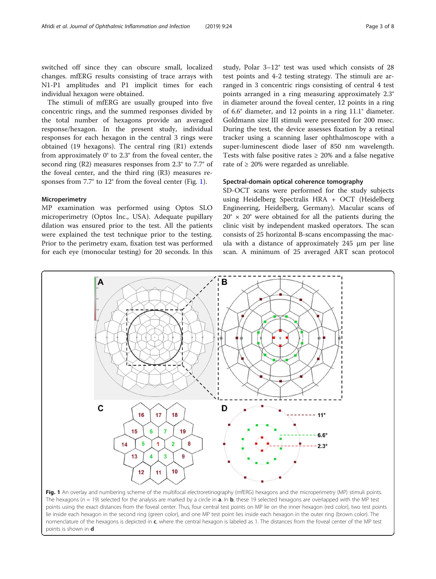<span id="page-2-0"></span>switched off since they can obscure small, localized changes. mfERG results consisting of trace arrays with N1-P1 amplitudes and P1 implicit times for each individual hexagon were obtained.

The stimuli of mfERG are usually grouped into five concentric rings, and the summed responses divided by the total number of hexagons provide an averaged response/hexagon. In the present study, individual responses for each hexagon in the central 3 rings were obtained (19 hexagons). The central ring (R1) extends from approximately 0° to 2.3° from the foveal center, the second ring (R2) measures responses from 2.3° to 7.7° of the foveal center, and the third ring (R3) measures responses from 7.7° to 12° from the foveal center (Fig. 1).

## Microperimetry

MP examination was performed using Optos SLO microperimetry (Optos Inc., USA). Adequate pupillary dilation was ensured prior to the test. All the patients were explained the test technique prior to the testing. Prior to the perimetry exam, fixation test was performed for each eye (monocular testing) for 20 seconds. In this study, Polar 3–12° test was used which consists of 28 test points and 4-2 testing strategy. The stimuli are arranged in 3 concentric rings consisting of central 4 test points arranged in a ring measuring approximately 2.3° in diameter around the foveal center, 12 points in a ring of 6.6° diameter, and 12 points in a ring 11.1° diameter. Goldmann size III stimuli were presented for 200 msec. During the test, the device assesses fixation by a retinal tracker using a scanning laser ophthalmoscope with a super-luminescent diode laser of 850 nm wavelength. Tests with false positive rates  $\geq$  20% and a false negative rate of  $\geq 20\%$  were regarded as unreliable.

## Spectral-domain optical coherence tomography

SD-OCT scans were performed for the study subjects using Heidelberg Spectralis HRA + OCT (Heidelberg Engineering, Heidelberg, Germany). Macular scans of  $20^\circ \times 20^\circ$  were obtained for all the patients during the clinic visit by independent masked operators. The scan consists of 25 horizontal B-scans encompassing the macula with a distance of approximately 245 μm per line scan. A minimum of 25 averaged ART scan protocol



Fig. 1 An overlay and numbering scheme of the multifocal electroretinography (mfERG) hexagons and the microperimetry (MP) stimuli points. The hexagons ( $n = 19$ ) selected for the analysis are marked by a circle in **a**. In **b**, these 19 selected hexagons are overlapped with the MP test points using the exact distances from the foveal center. Thus, four central test points on MP lie on the inner hexagon (red color), two test points lie inside each hexagon in the second ring (green color), and one MP test point lies inside each hexagon in the outer ring (brown color). The nomenclature of the hexagons is depicted in c, where the central hexagon is labeled as 1. The distances from the foveal center of the MP test points is shown in d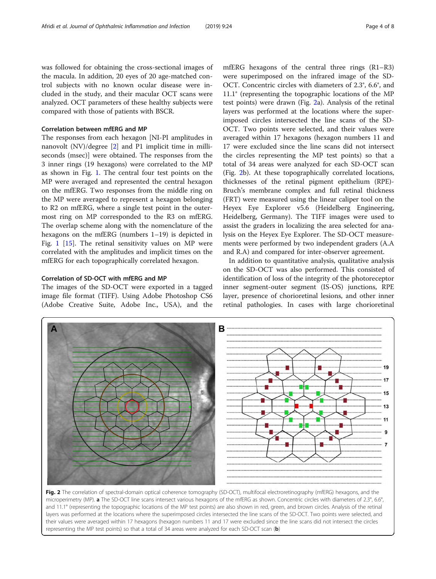was followed for obtaining the cross-sectional images of the macula. In addition, 20 eyes of 20 age-matched control subjects with no known ocular disease were included in the study, and their macular OCT scans were analyzed. OCT parameters of these healthy subjects were compared with those of patients with BSCR.

## Correlation between mfERG and MP

The responses from each hexagon [NI-PI amplitudes in nanovolt (NV)/degree [\[2](#page-7-0)] and P1 implicit time in milliseconds (msec)] were obtained. The responses from the 3 inner rings (19 hexagons) were correlated to the MP as shown in Fig. [1](#page-2-0). The central four test points on the MP were averaged and represented the central hexagon on the mfERG. Two responses from the middle ring on the MP were averaged to represent a hexagon belonging to R2 on mfERG, where a single test point in the outermost ring on MP corresponded to the R3 on mfERG. The overlap scheme along with the nomenclature of the hexagons on the mfERG (numbers 1–19) is depicted in Fig. [1](#page-2-0) [\[15\]](#page-7-0). The retinal sensitivity values on MP were correlated with the amplitudes and implicit times on the mfERG for each topographically correlated hexagon.

## Correlation of SD-OCT with mfERG and MP

The images of the SD-OCT were exported in a tagged image file format (TIFF). Using Adobe Photoshop CS6 (Adobe Creative Suite, Adobe Inc., USA), and the

mfERG hexagons of the central three rings (R1–R3) were superimposed on the infrared image of the SD-OCT. Concentric circles with diameters of 2.3°, 6.6°, and 11.1° (representing the topographic locations of the MP test points) were drawn (Fig. 2a). Analysis of the retinal layers was performed at the locations where the superimposed circles intersected the line scans of the SD-OCT. Two points were selected, and their values were averaged within 17 hexagons (hexagon numbers 11 and 17 were excluded since the line scans did not intersect the circles representing the MP test points) so that a total of 34 areas were analyzed for each SD-OCT scan (Fig. 2b). At these topographically correlated locations, thicknesses of the retinal pigment epithelium (RPE)- Bruch's membrane complex and full retinal thickness (FRT) were measured using the linear caliper tool on the Heyex Eye Explorer v5.6 (Heidelberg Engineering, Heidelberg, Germany). The TIFF images were used to assist the graders in localizing the area selected for analysis on the Heyex Eye Explorer. The SD-OCT measurements were performed by two independent graders (A.A and R.A) and compared for inter-observer agreement.

In addition to quantitative analysis, qualitative analysis on the SD-OCT was also performed. This consisted of identification of loss of the integrity of the photoreceptor inner segment-outer segment (IS-OS) junctions, RPE layer, presence of chorioretinal lesions, and other inner retinal pathologies. In cases with large chorioretinal



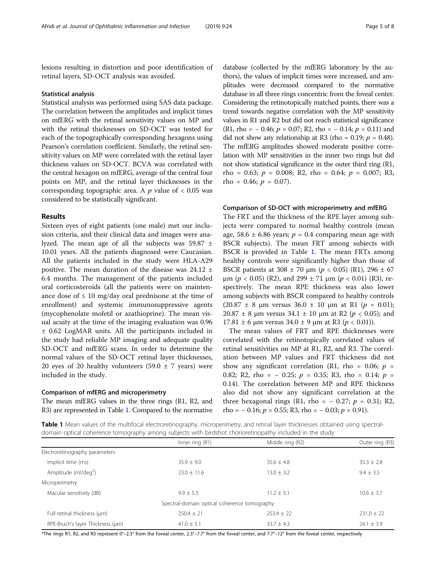lesions resulting in distortion and poor identification of retinal layers, SD-OCT analysis was avoided.

## Statistical analysis

Statistical analysis was performed using SAS data package. The correlation between the amplitudes and implicit times on mfERG with the retinal sensitivity values on MP and with the retinal thicknesses on SD-OCT was tested for each of the topographically corresponding hexagons using Pearson's correlation coefficient. Similarly, the retinal sensitivity values on MP were correlated with the retinal layer thickness values on SD-OCT. BCVA was correlated with the central hexagon on mfERG, average of the central four points on MP, and the retinal layer thicknesses in the corresponding topographic area. A  $p$  value of  $< 0.05$  was considered to be statistically significant.

## Results

Sixteen eyes of eight patients (one male) met our inclusion criteria, and their clinical data and images were analyzed. The mean age of all the subjects was 59.87 ± 10.01 years. All the patients diagnosed were Caucasian. All the patients included in the study were HLA-A29 positive. The mean duration of the disease was  $24.12 \pm$ 6.4 months. The management of the patients included oral corticosteroids (all the patients were on maintenance dose of  $\leq 10$  mg/day oral prednisone at the time of enrollment) and systemic immunosuppressive agents (mycophenolate mofetil or azathioprine). The mean visual acuity at the time of the imaging evaluation was 0.96 ± 0.62 LogMAR units. All the participants included in the study had reliable MP imaging and adequate quality SD-OCT and mfERG scans. In order to determine the normal values of the SD-OCT retinal layer thicknesses, 20 eyes of 20 healthy volunteers (59.0  $\pm$  7 years) were included in the study.

## Comparison of mfERG and microperimetry

The mean mfERG values in the three rings (R1, R2, and R3) are represented in Table 1. Compared to the normative

database (collected by the mfERG laboratory by the authors), the values of implicit times were increased, and amplitudes were decreased compared to the normative database in all three rings concentric from the foveal center. Considering the retinotopically matched points, there was a trend towards negative correlation with the MP sensitivity values in R1 and R2 but did not reach statistical significance  $(R1, rho = -0.46; p = 0.07; R2, rho = -0.14; p = 0.11)$  and did not show any relationship at R3 (rho = 0.19;  $p = 0.48$ ). The mfERG amplitudes showed moderate positive correlation with MP sensitivities in the inner two rings but did not show statistical significance in the outer third ring (R1, rho = 0.63;  $p = 0.008$ ; R2, rho = 0.64;  $p = 0.007$ ; R3, rho = 0.46;  $p = 0.07$ ).

## Comparison of SD-OCT with microperimetry and mfERG

The FRT and the thickness of the RPE layer among subjects were compared to normal healthy controls (mean age, 58.6  $\pm$  6.86 years;  $p = 0.4$  comparing mean age with BSCR subjects). The mean FRT among subjects with BSCR is provided in Table 1. The mean FRTs among healthy controls were significantly higher than those of BSCR patients at 308  $\pm$  70  $\mu$ m ( $p < 0.05$ ) (R1), 296  $\pm$  67 μm (*p* < 0.05) (R2), and 299  $\pm$  71 μm (*p* < 0.01) (R3), respectively. The mean RPE thickness was also lower among subjects with BSCR compared to healthy controls  $(20.87 \pm 8 \mu m \text{ versus } 36.0 \pm 10 \mu m \text{ at } R1 \ (p = 0.01);$ 20.87  $\pm$  8 μm versus 34.1  $\pm$  10 μm at R2 ( $p$  < 0.05); and 17.81  $\pm$  6 μm versus 34.0  $\pm$  9 μm at R3 ( $p$  < 0.01)).

The mean values of FRT and RPE thicknesses were correlated with the retinotopically correlated values of retinal sensitivities on MP at R1, R2, and R3. The correlation between MP values and FRT thickness did not show any significant correlation (R1, rho = 0.06;  $p =$ 0.82; R2, rho = - 0.25;  $p = 0.35$ ; R3, rho = 0.14;  $p =$ 0.14). The correlation between MP and RPE thickness also did not show any significant correlation at the three hexagonal rings (R1, rho =  $-$  0.27;  $p = 0.31$ ; R2, rho =  $-0.16$ ;  $p = 0.55$ ; R3, rho =  $-0.03$ ;  $p = 0.91$ ).

Table 1 Mean values of the multifocal electroretinography, microperimetry, and retinal layer thicknesses obtained using spectraldomain optical coherence tomography among subjects with birdshot chorioretinopathy included in the study

|                                  | Inner ring (R1)                              | Middle ring (R2) | Outer ring (R3) |
|----------------------------------|----------------------------------------------|------------------|-----------------|
| Electroretinography parameters   |                                              |                  |                 |
| Implicit time (ms)               | $35.9 + 9.0$                                 | $35.6 + 4.8$     | $35.3 \pm 2.8$  |
| Amplitude (nV/deg <sup>2</sup> ) | $23.0 + 11.6$                                | $13.0 \pm 3.2$   | $9.4 \pm 3.5$   |
| Microperimetry                   |                                              |                  |                 |
| Macular sensitivity (dB)         | $9.9 + 5.3$                                  | $11.2 + 5.1$     | $10.6 \pm 3.7$  |
|                                  | Spectral-domain optical coherence tomography |                  |                 |
| Full retinal thickness (um)      | $250.4 + 21$                                 | $253.4 \pm 22$   | $231.0 \pm 22$  |
| RPE-Bruch's layer Thickness (um) | $41.0 + 5.1$                                 | $33.7 + 4.3$     | $24.1 \pm 3.9$  |

\*The rings R1, R2, and R3 represent 0°–2.3° from the foveal center, 2.3°–7.7° from the foveal center, and 7.7°–12° from the foveal center, respectively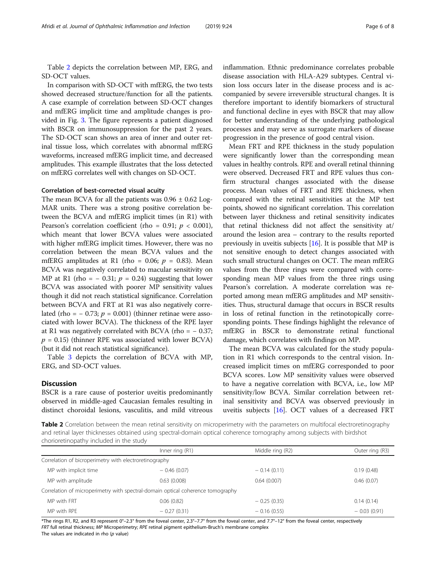Table 2 depicts the correlation between MP, ERG, and SD-OCT values.

In comparison with SD-OCT with mfERG, the two tests showed decreased structure/function for all the patients. A case example of correlation between SD-OCT changes and mfERG implicit time and amplitude changes is provided in Fig. [3](#page-6-0). The figure represents a patient diagnosed with BSCR on immunosuppression for the past 2 years. The SD-OCT scan shows an area of inner and outer retinal tissue loss, which correlates with abnormal mfERG waveforms, increased mfERG implicit time, and decreased amplitudes. This example illustrates that the loss detected on mfERG correlates well with changes on SD-OCT.

## Correlation of best-corrected visual acuity

The mean BCVA for all the patients was  $0.96 \pm 0.62$  Log-MAR units. There was a strong positive correlation between the BCVA and mfERG implicit times (in R1) with Pearson's correlation coefficient (rho = 0.91;  $p < 0.001$ ), which meant that lower BCVA values were associated with higher mfERG implicit times. However, there was no correlation between the mean BCVA values and the mfERG amplitudes at R1 (rho = 0.06;  $p = 0.83$ ). Mean BCVA was negatively correlated to macular sensitivity on MP at R1 (rho =  $-$  0.31;  $p = 0.24$ ) suggesting that lower BCVA was associated with poorer MP sensitivity values though it did not reach statistical significance. Correlation between BCVA and FRT at R1 was also negatively correlated (rho =  $-$  0.73;  $p = 0.001$ ) (thinner retinae were associated with lower BCVA). The thickness of the RPE layer at R1 was negatively correlated with BCVA (rho =  $-0.37$ ;  $p = 0.15$ ) (thinner RPE was associated with lower BCVA) (but it did not reach statistical significance).

Table [3](#page-6-0) depicts the correlation of BCVA with MP, ERG, and SD-OCT values.

## **Discussion**

BSCR is a rare cause of posterior uveitis predominantly observed in middle-aged Caucasian females resulting in distinct choroidal lesions, vasculitis, and mild vitreous inflammation. Ethnic predominance correlates probable disease association with HLA-A29 subtypes. Central vision loss occurs later in the disease process and is accompanied by severe irreversible structural changes. It is therefore important to identify biomarkers of structural and functional decline in eyes with BSCR that may allow for better understanding of the underlying pathological processes and may serve as surrogate markers of disease progression in the presence of good central vision.

Mean FRT and RPE thickness in the study population were significantly lower than the corresponding mean values in healthy controls. RPE and overall retinal thinning were observed. Decreased FRT and RPE values thus confirm structural changes associated with the disease process. Mean values of FRT and RPE thickness, when compared with the retinal sensitivities at the MP test points, showed no significant correlation. This correlation between layer thickness and retinal sensitivity indicates that retinal thickness did not affect the sensitivity at/ around the lesion area – contrary to the results reported previously in uveitis subjects [\[16](#page-7-0)]. It is possible that MP is not sensitive enough to detect changes associated with such small structural changes on OCT. The mean mfERG values from the three rings were compared with corresponding mean MP values from the three rings using Pearson's correlation. A moderate correlation was reported among mean mfERG amplitudes and MP sensitivities. Thus, structural damage that occurs in BSCR results in loss of retinal function in the retinotopically corresponding points. These findings highlight the relevance of mfERG in BSCR to demonstrate retinal functional damage, which correlates with findings on MP.

The mean BCVA was calculated for the study population in R1 which corresponds to the central vision. Increased implicit times on mfERG corresponded to poor BCVA scores. Low MP sensitivity values were observed to have a negative correlation with BCVA, i.e., low MP sensitivity/low BCVA. Similar correlation between retinal sensitivity and BCVA was observed previously in uveitis subjects [[16\]](#page-7-0). OCT values of a decreased FRT

Table 2 Correlation between the mean retinal sensitivity on microperimetry with the parameters on multifocal electroretinography and retinal layer thicknesses obtained using spectral-domain optical coherence tomography among subjects with birdshot chorioretinopathy included in the study

|                                                        | Inner ring $(R1)$                                                               | Middle ring (R2) | Outer ring (R3) |
|--------------------------------------------------------|---------------------------------------------------------------------------------|------------------|-----------------|
| Correlation of bicroperimetry with electroretinography |                                                                                 |                  |                 |
| MP with implicit time                                  | $-0.46(0.07)$                                                                   | $-0.14(0.11)$    | 0.19(0.48)      |
| MP with amplitude                                      | 0.63(0.008)                                                                     | 0.64(0.007)      | 0.46(0.07)      |
|                                                        | Correlation of microperimetry with spectral-domain optical coherence tomography |                  |                 |
| MP with FRT                                            | 0.06(0.82)                                                                      | $-0.25(0.35)$    | 0.14(0.14)      |
| MP with RPF                                            | $-0.27(0.31)$                                                                   | $-0.16(0.55)$    | $-0.03(0.91)$   |

\*The rings R1, R2, and R3 represent 0°–2.3° from the foveal center, 2.3°–7.7° from the foveal center, and 7.7°–12° from the foveal center, respectively FRT full retinal thickness; MP Microperimetry; RPE retinal pigment epithelium-Bruch's membrane complex

The values are indicated in rho  $(p$  value)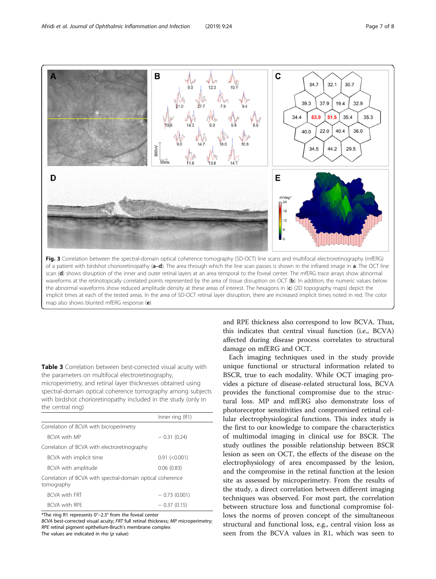<span id="page-6-0"></span>

Table 3 Correlation between best-corrected visual acuity with the parameters on multifocal electroretinography, microperimetry, and retinal layer thicknesses obtained using spectral-domain optical coherence tomography among subjects with birdshot chorioretinopathy included in the study (only in the central ring)

|                                                                          | Inner ring (R1)     |  |  |  |
|--------------------------------------------------------------------------|---------------------|--|--|--|
| Correlation of BCVA with bicroperimetry                                  |                     |  |  |  |
| <b>BCVA with MP</b>                                                      | $-0.31(0.24)$       |  |  |  |
| Correlation of BCVA with electroretinography                             |                     |  |  |  |
| BCVA with implicit time                                                  | $0.91$ (< $0.001$ ) |  |  |  |
| BCVA with amplitude                                                      | 0.06(0.83)          |  |  |  |
| Correlation of BCVA with spectral-domain optical coherence<br>tomography |                     |  |  |  |
| <b>BCVA with FRT</b>                                                     | $-0.73(0.001)$      |  |  |  |
| <b>BCVA with RPF</b>                                                     | $-0.37(0.15)$       |  |  |  |

\*The ring R1 represents 0°–2.3° from the foveal center

BCVA best-corrected visual acuity; FRT full retinal thickness; MP microperimetry; RPE retinal pigment epithelium-Bruch's membrane complex

The values are indicated in rho  $(p$  value)

and RPE thickness also correspond to low BCVA. Thus, this indicates that central visual function (i.e., BCVA) affected during disease process correlates to structural damage on mfERG and OCT.

Each imaging techniques used in the study provide unique functional or structural information related to BSCR, true to each modality. While OCT imaging provides a picture of disease-related structural loss, BCVA provides the functional compromise due to the structural loss. MP and mfERG also demonstrate loss of photoreceptor sensitivities and compromised retinal cellular electrophysiological functions. This index study is the first to our knowledge to compare the characteristics of multimodal imaging in clinical use for BSCR. The study outlines the possible relationship between BSCR lesion as seen on OCT, the effects of the disease on the electrophysiology of area encompassed by the lesion, and the compromise in the retinal function at the lesion site as assessed by microperimetry. From the results of the study, a direct correlation between different imaging techniques was observed. For most part, the correlation between structure loss and functional compromise follows the norms of proven concept of the simultaneous structural and functional loss, e.g., central vision loss as seen from the BCVA values in R1, which was seen to